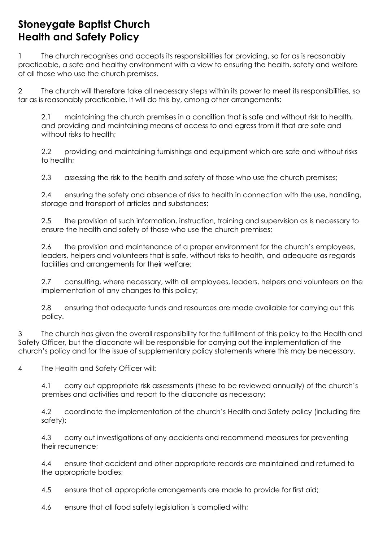## **Stoneygate Baptist Church Health and Safety Policy**

1 The church recognises and accepts its responsibilities for providing, so far as is reasonably practicable, a safe and healthy environment with a view to ensuring the health, safety and welfare of all those who use the church premises.

2 The church will therefore take all necessary steps within its power to meet its responsibilities, so far as is reasonably practicable. It will do this by, among other arrangements:

2.1 maintaining the church premises in a condition that is safe and without risk to health, and providing and maintaining means of access to and egress from it that are safe and without risks to health;

2.2 providing and maintaining furnishings and equipment which are safe and without risks to health;

2.3 assessing the risk to the health and safety of those who use the church premises;

2.4 ensuring the safety and absence of risks to health in connection with the use, handling, storage and transport of articles and substances;

2.5 the provision of such information, instruction, training and supervision as is necessary to ensure the health and safety of those who use the church premises;

2.6 the provision and maintenance of a proper environment for the church's employees, leaders, helpers and volunteers that is safe, without risks to health, and adequate as regards facilities and arrangements for their welfare;

2.7 consulting, where necessary, with all employees, leaders, helpers and volunteers on the implementation of any changes to this policy;

2.8 ensuring that adequate funds and resources are made available for carrying out this policy.

3 The church has given the overall responsibility for the fulfillment of this policy to the Health and Safety Officer, but the diaconate will be responsible for carrying out the implementation of the church's policy and for the issue of supplementary policy statements where this may be necessary.

4 The Health and Safety Officer will:

4.1 carry out appropriate risk assessments (these to be reviewed annually) of the church's premises and activities and report to the diaconate as necessary;

4.2 coordinate the implementation of the church's Health and Safety policy (including fire safety);

4.3 carry out investigations of any accidents and recommend measures for preventing their recurrence;

4.4 ensure that accident and other appropriate records are maintained and returned to the appropriate bodies;

4.5 ensure that all appropriate arrangements are made to provide for first aid;

4.6 ensure that all food safety legislation is complied with;